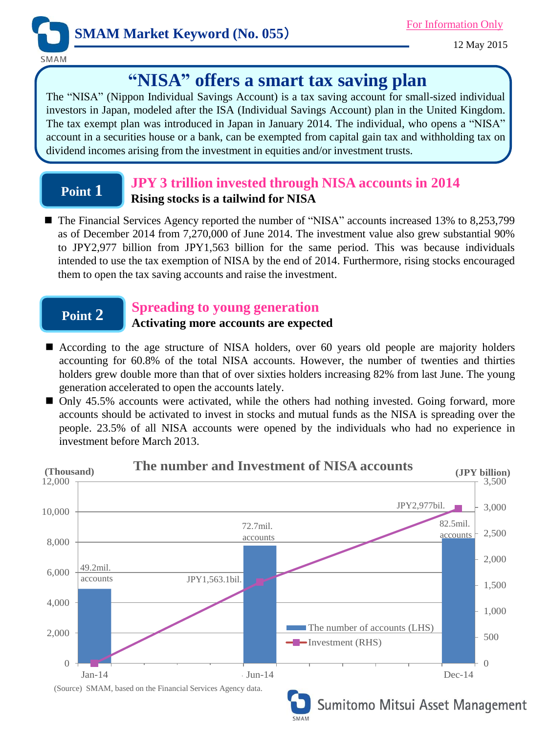

12 May 2015

SMAM

# **"NISA" offers a smart tax saving plan**

The "NISA" (Nippon Individual Savings Account) is a tax saving account for small-sized individual investors in Japan, modeled after the ISA (Individual Savings Account) plan in the United Kingdom. The tax exempt plan was introduced in Japan in January 2014. The individual, who opens a "NISA" account in a securities house or a bank, can be exempted from capital gain tax and withholding tax on dividend incomes arising from the investment in equities and/or investment trusts.

## **Point 1**

## **JPY 3 trillion invested through NISA accounts in 2014 Rising stocks is a tailwind for NISA**

■ The Financial Services Agency reported the number of "NISA" accounts increased 13% to 8,253,799 as of December 2014 from 7,270,000 of June 2014. The investment value also grew substantial 90% to JPY2,977 billion from JPY1,563 billion for the same period. This was because individuals intended to use the tax exemption of NISA by the end of 2014. Furthermore, rising stocks encouraged them to open the tax saving accounts and raise the investment.

## **Point 2**

### **Spreading to young generation**

### **Activating more accounts are expected**

- According to the age structure of NISA holders, over 60 years old people are majority holders accounting for 60.8% of the total NISA accounts. However, the number of twenties and thirties holders grew double more than that of over sixties holders increasing 82% from last June. The young generation accelerated to open the accounts lately.
- Only 45.5% accounts were activated, while the others had nothing invested. Going forward, more accounts should be activated to invest in stocks and mutual funds as the NISA is spreading over the people. 23.5% of all NISA accounts were opened by the individuals who had no experience in investment before March 2013.